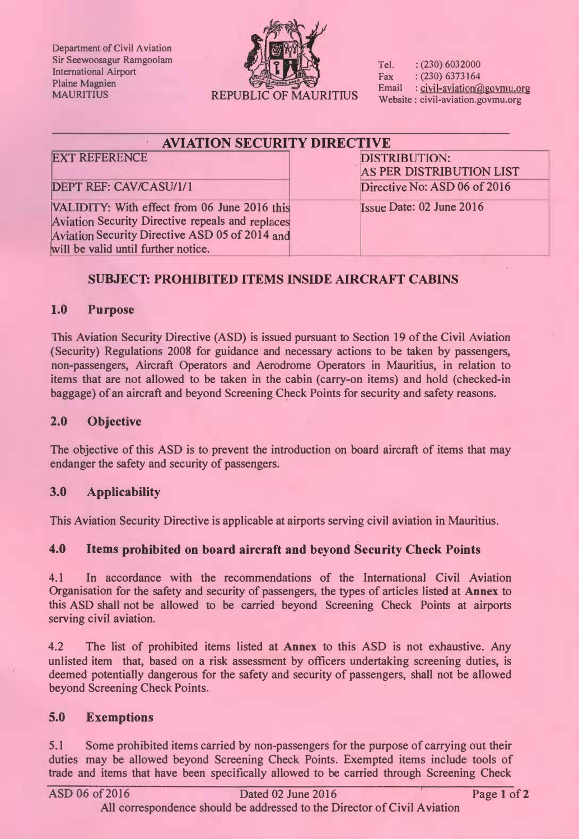Department of Civil Aviation Sir Seewoosagur Ramgoolam International Airport Plaine Magnien



Tel. : (230) 6032000 Fax :  $(230)$  6373164<br>Email : civil-aviation@ : civil-aviation@govmu.org Website : civil-aviation.govmu.org

| <b>AVIATION SECURITY DIRECTIVE</b>               |                                 |
|--------------------------------------------------|---------------------------------|
| <b>EXT REFERENCE</b>                             | <b>DISTRIBUTION:</b>            |
|                                                  | AS PER DISTRIBUTION LIST        |
| <b>DEPT REF: CAV/CASU/1/1</b>                    | Directive No: ASD 06 of 2016    |
| VALIDITY: With effect from 06 June 2016 this     | <b>Issue Date: 02 June 2016</b> |
| Aviation Security Directive repeals and replaces |                                 |
| Aviation Security Directive ASD 05 of 2014 and   |                                 |
| will be valid until further notice.              |                                 |

# SUBJECT: PROHIBITED ITEMS INSIDE AIRCRAFT CABINS

## 1.0 Purpose

This Aviation Security Directive (ASD) is issued pursuant to Section 19 of the Civil Aviation (Security) Regulations 2008 for guidance and necessary actions to be taken by passengers, non-passengers, Aircraft Operators and Aerodrome Operators in Mauritius, in relation to items that are not allowed to be taken in the cabin (carry-on items) and hold (checked-in baggage) of an aircraft and beyond Screening Check Points for security and safety reasons.

#### 2.0 Objective

The objective of this ASD is to prevent the introduction on board aircraft of items that may endanger the safety and security of passengers.

## 3.0 Applicability

This Aviation Security Directive is applicable at airports serving civil aviation in Mauritius.

## 4.0 Items prohibited on board aircraft and beyond Security Check Points

4.1 In accordance with the recommendations of the International Civil Aviation Organisation for the safety and security of passengers, the types of articles listed at Annex to this ASD shall not be allowed to be carried beyond Screening Check Points at airports serving civil aviation.

4.2 The list of prohibited items listed at Annex to this ASD is not exhaustive. Any unlisted item that, based on a risk assessment by officers undertaking screening duties, is deemed potentially dangerous for the safety and security of passengers, shall not be allowed beyond Screening Check Points.

## 5.0 Exemptions

5.1 Some prohibited items carried by non-passengers for the purpose of carrying out their duties may be allowed beyond Screening Check Points. Exempted items include tools of trade and items that have been specifically allowed to be carried through Screening Check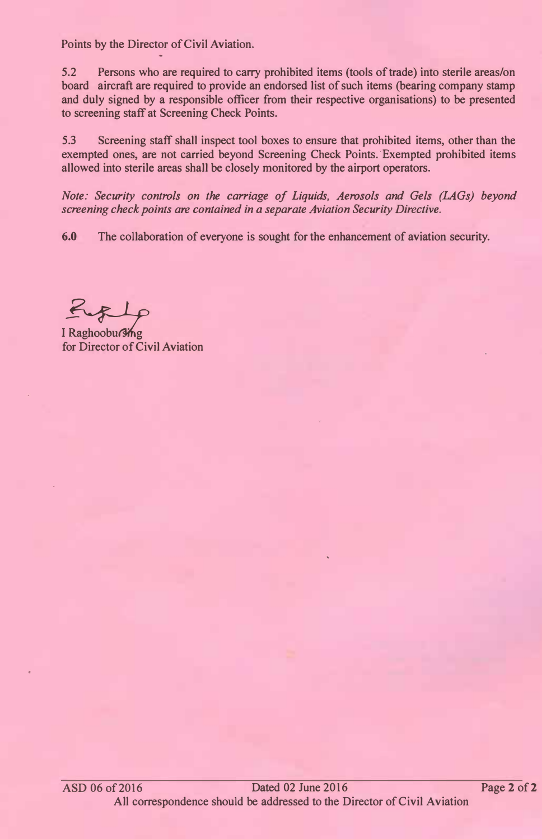Points by the Director of Civil Aviation.

5.2 Persons who are required to carry prohibited items (tools of trade) into sterile areas/on board aircraft are required to provide an endorsed list of such items (bearing company stamp and duly signed by a responsible officer from their respective organisations) to be presented to screening staff at Screening Check Points.

5.3 Screening staff shall inspect tool boxes to ensure that prohibited items, other than the exempted ones, are not carried beyond Screening Check Points. Exempted prohibited items allowed into sterile areas shall be closely monitored by the airport operators.

Note: Security controls on the carriage of Liquids, Aerosols and Gels (LAGs) beyond screening check points are contained in a separate Aviation Security Directive.

6.0 The collaboration of everyone is sought for the enhancement of aviation security.

I Raghoobursing

for Director of Civil Aviation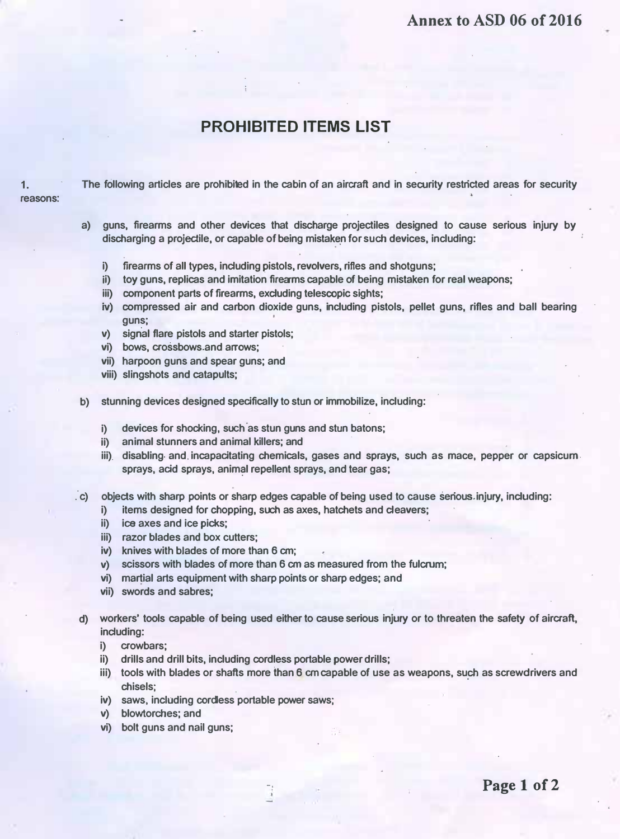#### Annex to ASD 06 of 2016

# PROHIBITED ITEMS LIST

1. The following articles are prohibied in the cabin of an aircraft and in security restricted areas for security **reasons** 

- a) guns, firearms and other devices that discharge projectiles designed to cause serious injury by discharging a projectile, or capable of being mistaken for such devices, including:
	- i) firearms of all types, including pistols, revolvers, rifles and shotguns;
	- ii) toy guns, replicas and imitation firearms capable of being mistaken for real weapons;
	- iii) component parts of firearms, excluding telescopic sights;
	- iv) compressed air and carbon dioxide guns, including pistols, pellet guns, rifles and ball bearing guns;
	- v) signal flare pistols and starter pistols;
	- vi) bows, crossbows and arrows;
	- vii) harpoon guns and spear guns; and
	- viii) slingshots and catapults;
- b) stunning devices designed spedfically to stun or immobilize, including:
	- i) devices for shocking, such as stun guns and stun batons;
	- ii) animal stunners and animal killers; and
	- iii). disabling and incapacitating chemicals, gases and sprays, such as mace, pepper or capsicum sprays, acid sprays, animal repellent sprays, and tear gas;
- ."c) objects with sharp points or sharp edges capable of being used to cause serious injury, including:
	- i) items designed for chopping, such as axes, hatchets and cleavers;
	- ii) ice axes and ice picks;
	- iii) razor blades and box cutters;
	- iv) knives with blades of more than 6 cm;
	- v) scissors with blades of more than 6 cm as measured from the fulcrum;

 $-1$ 

- vi) martial arts equipment with sharp points or sharp edges; and
- vii) swords and sabres;
- d) workers' tools capable of being used either to cause serious injury or to threaten the safety of aircraft, including:
	- i) crowbars;
	- ii) drills and drill bits, including cordless portable power drills;
	- iii) tools with blades or shafts more than 6 cm capable of use as weapons, such as screwdrivers and chisels;
	- iv) saws, including cordiess portable power saws;
	- v) blowtorches; and
	- vi) bolt guns and nail guns;